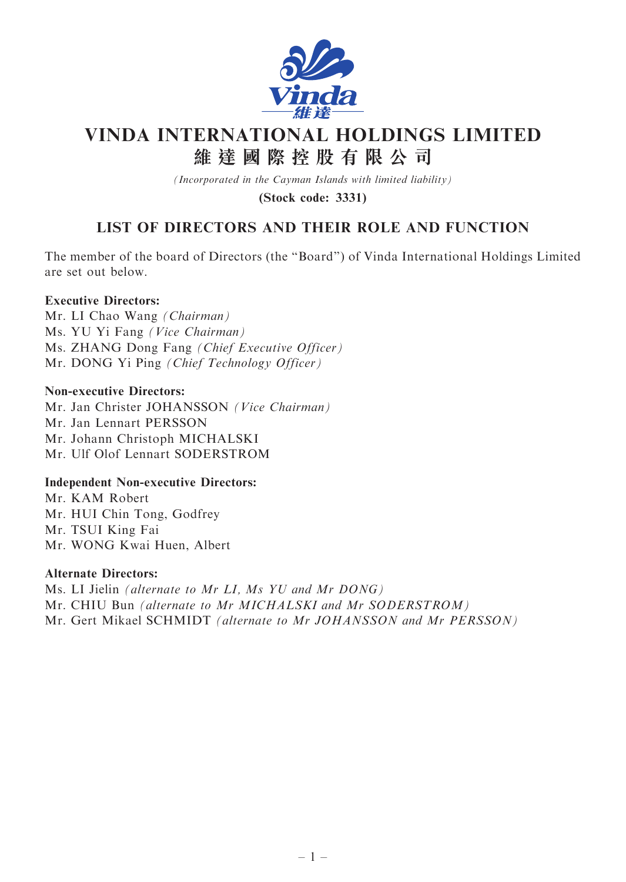

# VINDA INTERNATIONAL HOLDINGS LIMITED 維 達 國 際 控 股 有 限 公 司

(Incorporated in the Cayman Islands with limited liability)

(Stock code: 3331)

# LIST OF DIRECTORS AND THEIR ROLE AND FUNCTION

The member of the board of Directors (the ''Board'') of Vinda International Holdings Limited are set out below.

# Executive Directors:

Mr. LI Chao Wang (Chairman) Ms. YU Yi Fang (Vice Chairman) Ms. ZHANG Dong Fang (Chief Executive Officer) Mr. DONG Yi Ping (Chief Technology Officer)

#### Non-executive Directors:

Mr. Jan Christer JOHANSSON (Vice Chairman) Mr. Jan Lennart PERSSON Mr. Johann Christoph MICHALSKI Mr. Ulf Olof Lennart SODERSTROM

#### Independent Non-executive Directors:

Mr. KAM Robert Mr. HUI Chin Tong, Godfrey Mr. TSUI King Fai Mr. WONG Kwai Huen, Albert

#### Alternate Directors:

Ms. LI Jielin (alternate to Mr LI, Ms YU and Mr DONG) Mr. CHIU Bun (alternate to Mr MICHALSKI and Mr SODERSTROM) Mr. Gert Mikael SCHMIDT (alternate to Mr JOHANSSON and Mr PERSSON)